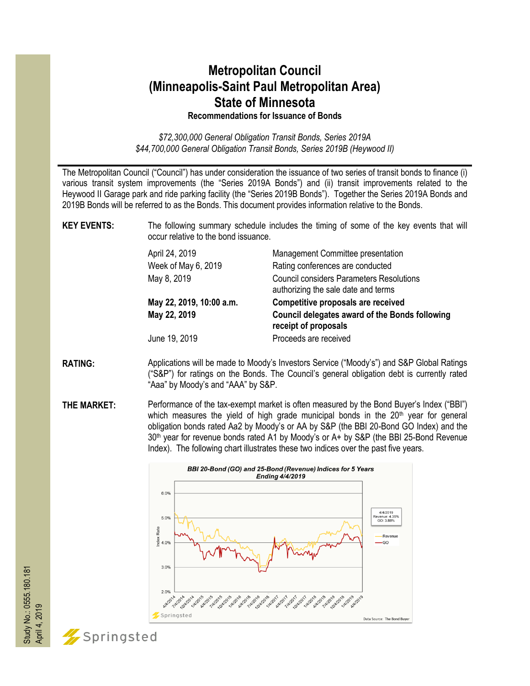## **Metropolitan Council (Minneapolis-Saint Paul Metropolitan Area) State of Minnesota Recommendations for Issuance of Bonds**

*\$72,300,000 General Obligation Transit Bonds, Series 2019A \$44,700,000 General Obligation Transit Bonds, Series 2019B (Heywood II)*

The Metropolitan Council ("Council") has under consideration the issuance of two series of transit bonds to finance (i) various transit system improvements (the "Series 2019A Bonds") and (ii) transit improvements related to the Heywood II Garage park and ride parking facility (the "Series 2019B Bonds"). Together the Series 2019A Bonds and 2019B Bonds will be referred to as the Bonds. This document provides information relative to the Bonds.

**KEY EVENTS:** The following summary schedule includes the timing of some of the key events that will occur relative to the bond issuance.

| April 24, 2019           | Management Committee presentation                                                      |
|--------------------------|----------------------------------------------------------------------------------------|
| Week of May 6, 2019      | Rating conferences are conducted                                                       |
| May 8, 2019              | <b>Council considers Parameters Resolutions</b><br>authorizing the sale date and terms |
| May 22, 2019, 10:00 a.m. | Competitive proposals are received                                                     |
| May 22, 2019             | Council delegates award of the Bonds following<br>receipt of proposals                 |
| June 19, 2019            | Proceeds are received                                                                  |

- **RATING:** Applications will be made to Moody's Investors Service ("Moody's") and S&P Global Ratings ("S&P") for ratings on the Bonds. The Council's general obligation debt is currently rated "Aaa" by Moody's and "AAA" by S&P.
- **THE MARKET:** Performance of the tax-exempt market is often measured by the Bond Buyer's Index ("BBI") which measures the yield of high grade municipal bonds in the  $20<sup>th</sup>$  year for general obligation bonds rated Aa2 by Moody's or AA by S&P (the BBI 20-Bond GO Index) and the 30<sup>th</sup> year for revenue bonds rated A1 by Moody's or A+ by S&P (the BBI 25-Bond Revenue Index). The following chart illustrates these two indices over the past five years.





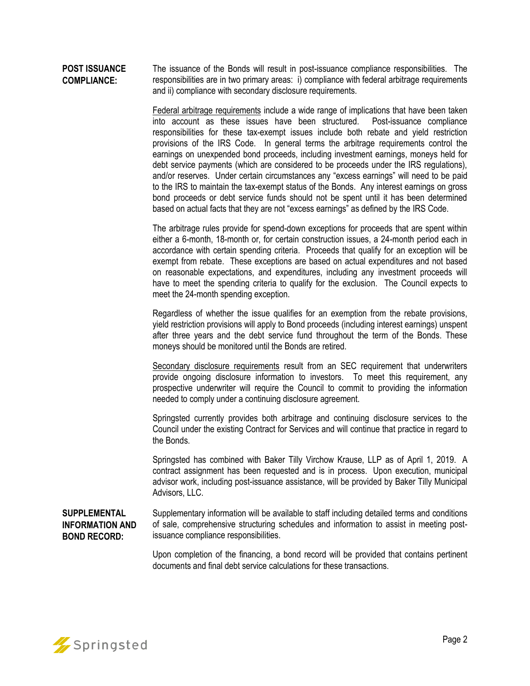#### **POST ISSUANCE COMPLIANCE:** The issuance of the Bonds will result in post-issuance compliance responsibilities. The responsibilities are in two primary areas: i) compliance with federal arbitrage requirements and ii) compliance with secondary disclosure requirements.

Federal arbitrage requirements include a wide range of implications that have been taken into account as these issues have been structured. Post-issuance compliance responsibilities for these tax-exempt issues include both rebate and yield restriction provisions of the IRS Code. In general terms the arbitrage requirements control the earnings on unexpended bond proceeds, including investment earnings, moneys held for debt service payments (which are considered to be proceeds under the IRS regulations), and/or reserves. Under certain circumstances any "excess earnings" will need to be paid to the IRS to maintain the tax-exempt status of the Bonds. Any interest earnings on gross bond proceeds or debt service funds should not be spent until it has been determined based on actual facts that they are not "excess earnings" as defined by the IRS Code.

The arbitrage rules provide for spend-down exceptions for proceeds that are spent within either a 6-month, 18-month or, for certain construction issues, a 24-month period each in accordance with certain spending criteria. Proceeds that qualify for an exception will be exempt from rebate. These exceptions are based on actual expenditures and not based on reasonable expectations, and expenditures, including any investment proceeds will have to meet the spending criteria to qualify for the exclusion. The Council expects to meet the 24-month spending exception.

Regardless of whether the issue qualifies for an exemption from the rebate provisions, yield restriction provisions will apply to Bond proceeds (including interest earnings) unspent after three years and the debt service fund throughout the term of the Bonds. These moneys should be monitored until the Bonds are retired.

Secondary disclosure requirements result from an SEC requirement that underwriters provide ongoing disclosure information to investors. To meet this requirement, any prospective underwriter will require the Council to commit to providing the information needed to comply under a continuing disclosure agreement.

Springsted currently provides both arbitrage and continuing disclosure services to the Council under the existing Contract for Services and will continue that practice in regard to the Bonds.

Springsted has combined with Baker Tilly Virchow Krause, LLP as of April 1, 2019. A contract assignment has been requested and is in process. Upon execution, municipal advisor work, including post-issuance assistance, will be provided by Baker Tilly Municipal Advisors, LLC.

**SUPPLEMENTAL INFORMATION AND BOND RECORD:** Supplementary information will be available to staff including detailed terms and conditions of sale, comprehensive structuring schedules and information to assist in meeting postissuance compliance responsibilities.

> Upon completion of the financing, a bond record will be provided that contains pertinent documents and final debt service calculations for these transactions.

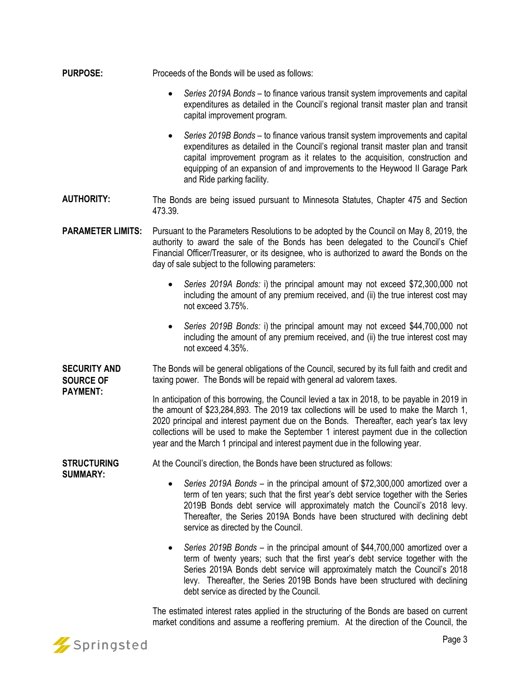- **PURPOSE:** Proceeds of the Bonds will be used as follows:
	- *Series 2019A Bonds*  to finance various transit system improvements and capital expenditures as detailed in the Council's regional transit master plan and transit capital improvement program.
	- *Series 2019B Bonds* to finance various transit system improvements and capital expenditures as detailed in the Council's regional transit master plan and transit capital improvement program as it relates to the acquisition, construction and equipping of an expansion of and improvements to the Heywood II Garage Park and Ride parking facility.
- **AUTHORITY:** The Bonds are being issued pursuant to Minnesota Statutes, Chapter 475 and Section 473.39.
- **PARAMETER LIMITS:** Pursuant to the Parameters Resolutions to be adopted by the Council on May 8, 2019, the authority to award the sale of the Bonds has been delegated to the Council's Chief Financial Officer/Treasurer, or its designee, who is authorized to award the Bonds on the day of sale subject to the following parameters:
	- *Series 2019A Bonds:* i) the principal amount may not exceed \$72,300,000 not including the amount of any premium received, and (ii) the true interest cost may not exceed 3.75%.
	- *Series 2019B Bonds:* i) the principal amount may not exceed \$44,700,000 not including the amount of any premium received, and (ii) the true interest cost may not exceed 4.35%.

**SECURITY AND SOURCE OF PAYMENT:** The Bonds will be general obligations of the Council, secured by its full faith and credit and taxing power. The Bonds will be repaid with general ad valorem taxes.

In anticipation of this borrowing, the Council levied a tax in 2018, to be payable in 2019 in the amount of \$23,284,893. The 2019 tax collections will be used to make the March 1, 2020 principal and interest payment due on the Bonds. Thereafter, each year's tax levy collections will be used to make the September 1 interest payment due in the collection year and the March 1 principal and interest payment due in the following year.

At the Council's direction, the Bonds have been structured as follows:

- **STRUCTURING SUMMARY:**
- *Series 2019A Bonds* in the principal amount of \$72,300,000 amortized over a term of ten years; such that the first year's debt service together with the Series 2019B Bonds debt service will approximately match the Council's 2018 levy. Thereafter, the Series 2019A Bonds have been structured with declining debt service as directed by the Council.
- *Series 2019B Bonds* in the principal amount of \$44,700,000 amortized over a term of twenty years; such that the first year's debt service together with the Series 2019A Bonds debt service will approximately match the Council's 2018 levy. Thereafter, the Series 2019B Bonds have been structured with declining debt service as directed by the Council.

The estimated interest rates applied in the structuring of the Bonds are based on current market conditions and assume a reoffering premium. At the direction of the Council, the

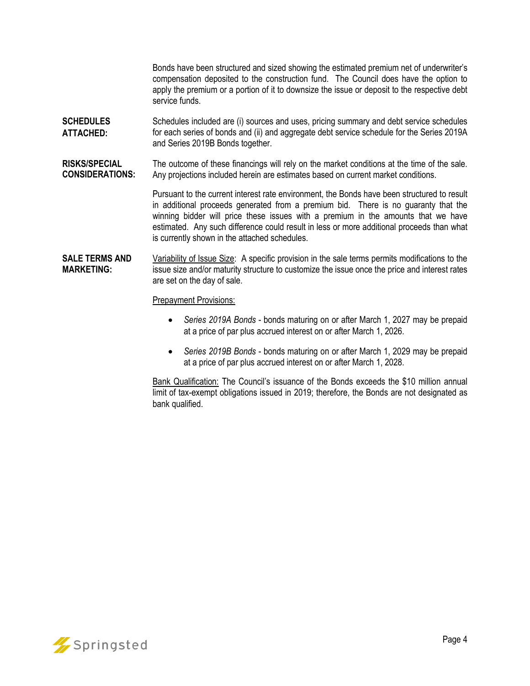Bonds have been structured and sized showing the estimated premium net of underwriter's compensation deposited to the construction fund. The Council does have the option to apply the premium or a portion of it to downsize the issue or deposit to the respective debt service funds.

- **SCHEDULES ATTACHED:** Schedules included are (i) sources and uses, pricing summary and debt service schedules for each series of bonds and (ii) and aggregate debt service schedule for the Series 2019A and Series 2019B Bonds together.
- **RISKS/SPECIAL CONSIDERATIONS:** The outcome of these financings will rely on the market conditions at the time of the sale. Any projections included herein are estimates based on current market conditions.

Pursuant to the current interest rate environment, the Bonds have been structured to result in additional proceeds generated from a premium bid. There is no guaranty that the winning bidder will price these issues with a premium in the amounts that we have estimated. Any such difference could result in less or more additional proceeds than what is currently shown in the attached schedules.

#### **SALE TERMS AND MARKETING:** Variability of Issue Size: A specific provision in the sale terms permits modifications to the issue size and/or maturity structure to customize the issue once the price and interest rates are set on the day of sale.

#### Prepayment Provisions:

- *Series 2019A Bonds* bonds maturing on or after March 1, 2027 may be prepaid at a price of par plus accrued interest on or after March 1, 2026.
- *Series 2019B Bonds* bonds maturing on or after March 1, 2029 may be prepaid at a price of par plus accrued interest on or after March 1, 2028.

Bank Qualification: The Council's issuance of the Bonds exceeds the \$10 million annual limit of tax-exempt obligations issued in 2019; therefore, the Bonds are not designated as bank qualified.

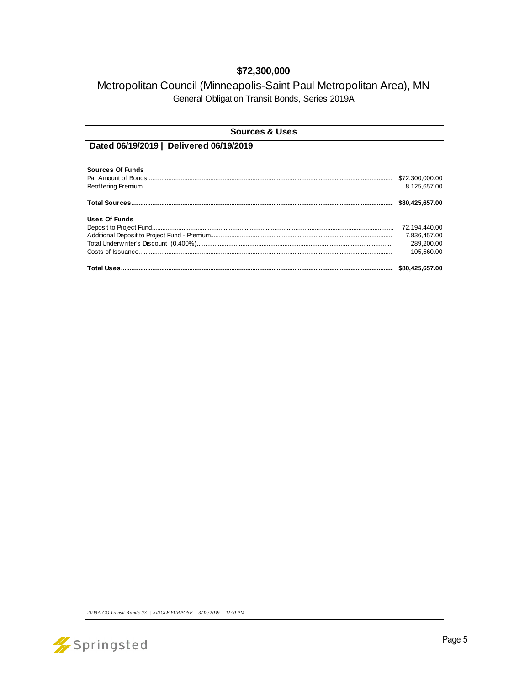### \$72,300,000

## Metropolitan Council (Minneapolis-Saint Paul Metropolitan Area), MN General Obligation Transit Bonds, Series 2019A

| <b>Sources &amp; Uses</b>               |                 |  |  |  |  |
|-----------------------------------------|-----------------|--|--|--|--|
| Dated 06/19/2019   Delivered 06/19/2019 |                 |  |  |  |  |
| <b>Sources Of Funds</b>                 |                 |  |  |  |  |
|                                         |                 |  |  |  |  |
|                                         |                 |  |  |  |  |
|                                         | \$80.425.657.00 |  |  |  |  |
| Uses Of Funds                           |                 |  |  |  |  |
|                                         | 72,194,440.00   |  |  |  |  |
|                                         | 7.836.457.00    |  |  |  |  |
|                                         | 289.200.00      |  |  |  |  |
|                                         | 105.560.00      |  |  |  |  |
|                                         |                 |  |  |  |  |

2019A GO Transit Bonds 03 | SINGLE PURPOSE | 3/12/2019 | 12:10 PM

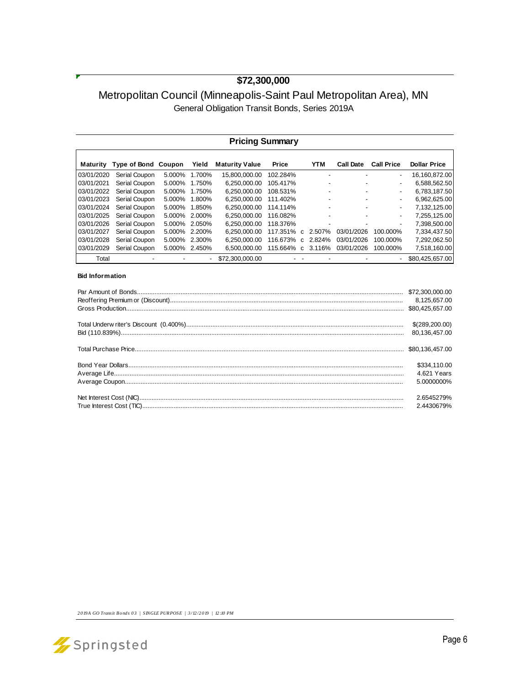### **\$72,300,000**

## Metropolitan Council (Minneapolis-Saint Paul Metropolitan Area), MN General Obligation Transit Bonds, Series 2019A

| <b>Pricing Summary</b> |                            |        |        |                       |          |              |                          |                  |                          |                     |
|------------------------|----------------------------|--------|--------|-----------------------|----------|--------------|--------------------------|------------------|--------------------------|---------------------|
| Maturity               | <b>Type of Bond Coupon</b> |        | Yield  | <b>Maturity Value</b> | Price    |              | <b>YTM</b>               | <b>Call Date</b> | <b>Call Price</b>        | <b>Dollar Price</b> |
| 03/01/2020             | Serial Coupon              | 5.000% | 1.700% | 15.800.000.00         | 102.284% |              | $\overline{a}$           |                  | $\overline{\phantom{0}}$ | 16.160.872.00       |
| 03/01/2021             | Serial Coupon              | 5.000% | 1.750% | 6.250.000.00          | 105.417% |              | $\overline{\phantom{0}}$ |                  | $\overline{\phantom{a}}$ | 6.588.562.50        |
| 03/01/2022             | Serial Coupon              | 5.000% | 1.750% | 6.250.000.00          | 108.531% |              | $\overline{\phantom{0}}$ |                  | $\overline{\phantom{0}}$ | 6.783.187.50        |
| 03/01/2023             | Serial Coupon              | 5.000% | 1.800% | 6.250.000.00          | 111.402% |              | $\overline{\phantom{0}}$ |                  | ٠                        | 6.962.625.00        |
| 03/01/2024             | Serial Coupon              | 5.000% | 1.850% | 6.250.000.00          | 114.114% |              | $\overline{\phantom{0}}$ |                  | ٠                        | 7.132.125.00        |
| 03/01/2025             | Serial Coupon              | 5.000% | 2.000% | 6.250.000.00          | 116.082% |              |                          |                  | $\overline{\phantom{a}}$ | 7.255.125.00        |
| 03/01/2026             | Serial Coupon              | 5.000% | 2.050% | 6.250.000.00          | 118.376% |              |                          |                  | $\overline{\phantom{0}}$ | 7.398.500.00        |
| 03/01/2027             | Serial Coupon              | 5.000% | 2.200% | 6.250.000.00          | 117.351% | $\mathbf{C}$ | 2.507%                   | 03/01/2026       | 100.000%                 | 7.334.437.50        |
| 03/01/2028             | Serial Coupon              | 5.000% | 2.300% | 6.250.000.00          | 116.673% | C            | 2.824%                   | 03/01/2026       | 100.000%                 | 7,292,062.50        |
| 03/01/2029             | Serial Coupon              | 5.000% | 2.450% | 6.500.000.00          | 115.664% | $\mathbf{C}$ | 3.116%                   | 03/01/2026       | 100.000%                 | 7,518,160.00        |
| Total                  |                            |        |        | \$72,300,000.00       |          |              |                          |                  |                          | \$80,425,657.00     |

#### **Bid Information**

| 8,125,657.00                              |  |
|-------------------------------------------|--|
| \$(289,200.00)<br>80.136.457.00           |  |
|                                           |  |
| \$334,110.00<br>4.621 Years<br>5.0000000% |  |
| 2.6545279%<br>2.4430679%                  |  |

*2019A GO Transit B onds 03 | SINGLE PUR POSE | 3/12/2019 | 12:10 PM*

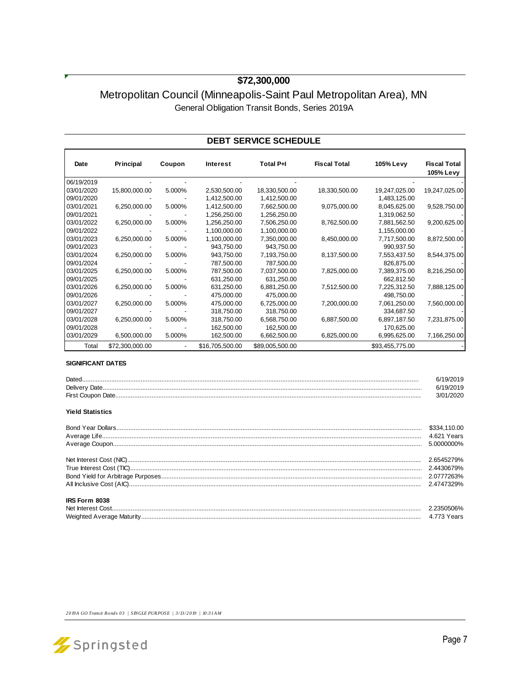### **\$72,300,000**

## Metropolitan Council (Minneapolis-Saint Paul Metropolitan Area), MN General Obligation Transit Bonds, Series 2019A

#### **DEBT SERVICE SCHEDULE**

| Date       | Principal       | Coupon                   | <b>Interest</b> | Total P+I       | <b>Fiscal Total</b> | 105% Levy       | <b>Fiscal Total</b> |
|------------|-----------------|--------------------------|-----------------|-----------------|---------------------|-----------------|---------------------|
|            |                 |                          |                 |                 |                     |                 | 105% Levy           |
| 06/19/2019 |                 |                          |                 |                 |                     |                 |                     |
| 03/01/2020 | 15,800,000.00   | 5.000%                   | 2,530,500.00    | 18,330,500.00   | 18,330,500.00       | 19,247,025.00   | 19,247,025.00       |
| 09/01/2020 |                 |                          | 1,412,500.00    | 1,412,500.00    |                     | 1,483,125.00    |                     |
| 03/01/2021 | 6,250,000.00    | 5.000%                   | 1,412,500.00    | 7,662,500.00    | 9,075,000.00        | 8,045,625.00    | 9,528,750.00        |
| 09/01/2021 |                 |                          | 1,256,250.00    | 1,256,250.00    |                     | 1,319,062.50    |                     |
| 03/01/2022 | 6,250,000.00    | 5.000%                   | 1,256,250.00    | 7,506,250.00    | 8,762,500.00        | 7,881,562.50    | 9,200,625.00        |
| 09/01/2022 |                 |                          | 1,100,000.00    | 1,100,000.00    |                     | 1,155,000.00    |                     |
| 03/01/2023 | 6,250,000.00    | 5.000%                   | 1,100,000.00    | 7,350,000.00    | 8,450,000.00        | 7,717,500.00    | 8,872,500.00        |
| 09/01/2023 |                 |                          | 943,750.00      | 943,750.00      |                     | 990,937.50      |                     |
| 03/01/2024 | 6,250,000.00    | 5.000%                   | 943,750.00      | 7,193,750.00    | 8,137,500.00        | 7,553,437.50    | 8,544,375.00        |
| 09/01/2024 |                 |                          | 787,500.00      | 787,500.00      |                     | 826,875.00      |                     |
| 03/01/2025 | 6,250,000.00    | 5.000%                   | 787,500.00      | 7,037,500.00    | 7,825,000.00        | 7,389,375.00    | 8,216,250.00        |
| 09/01/2025 |                 |                          | 631,250.00      | 631,250.00      |                     | 662,812.50      |                     |
| 03/01/2026 | 6,250,000.00    | 5.000%                   | 631,250.00      | 6,881,250.00    | 7,512,500.00        | 7,225,312.50    | 7,888,125.00        |
| 09/01/2026 |                 |                          | 475,000.00      | 475,000.00      |                     | 498,750.00      |                     |
| 03/01/2027 | 6,250,000.00    | 5.000%                   | 475,000.00      | 6,725,000.00    | 7,200,000.00        | 7,061,250.00    | 7,560,000.00        |
| 09/01/2027 |                 |                          | 318,750.00      | 318,750.00      |                     | 334,687.50      |                     |
| 03/01/2028 | 6,250,000.00    | 5.000%                   | 318,750.00      | 6,568,750.00    | 6,887,500.00        | 6,897,187.50    | 7,231,875.00        |
| 09/01/2028 |                 |                          | 162,500.00      | 162,500.00      |                     | 170,625.00      |                     |
| 03/01/2029 | 6,500,000.00    | 5.000%                   | 162,500.00      | 6,662,500.00    | 6,825,000.00        | 6,995,625.00    | 7,166,250.00        |
| Total      | \$72,300,000.00 | $\overline{\phantom{m}}$ | \$16,705,500.00 | \$89,005,500.00 |                     | \$93,455,775.00 |                     |

#### **SIGNIFICANT DATES**

| <b>Yield Statistics</b> | 6/19/2019<br>6/19/2019<br>3/01/2020       |
|-------------------------|-------------------------------------------|
|                         | \$334,110.00<br>4.621 Years<br>5.0000000% |
|                         | 2.6545279%<br>2.4430679%<br>2.4747329%    |
| IRS Form 8038           | 2.2350506%<br>4.773 Years                 |

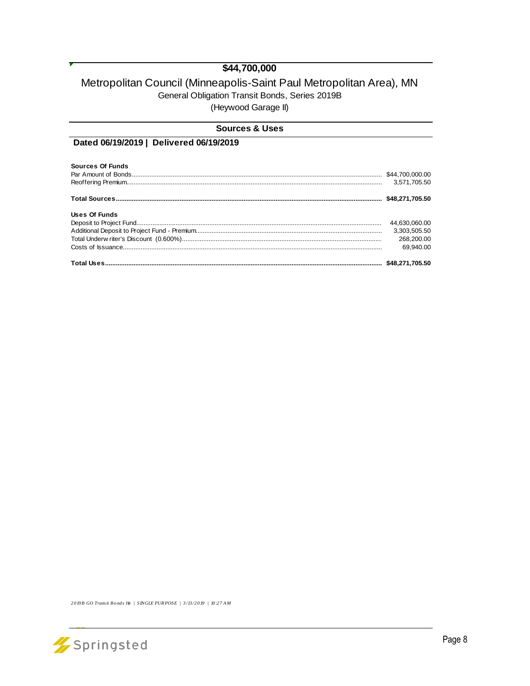## \$44,700,000

### Metropolitan Council (Minneapolis-Saint Paul Metropolitan Area), MN General Obligation Transit Bonds, Series 2019B (Heywood Garage II)

| <b>Sources &amp; Uses</b>               |                 |
|-----------------------------------------|-----------------|
| Dated 06/19/2019   Delivered 06/19/2019 |                 |
| Sources Of Funds                        |                 |
|                                         |                 |
|                                         | 3.571.705.50    |
|                                         | \$48.271.705.50 |
| Uses Of Funds                           |                 |
|                                         | 44,630,060.00   |
|                                         | 3,303,505.50    |
|                                         | 268,200,00      |
|                                         | 69.940.00       |
|                                         |                 |

2019B GO Transit Bonds He | SINGLE PURPOSE | 3/13/2019 | 10:27 AM

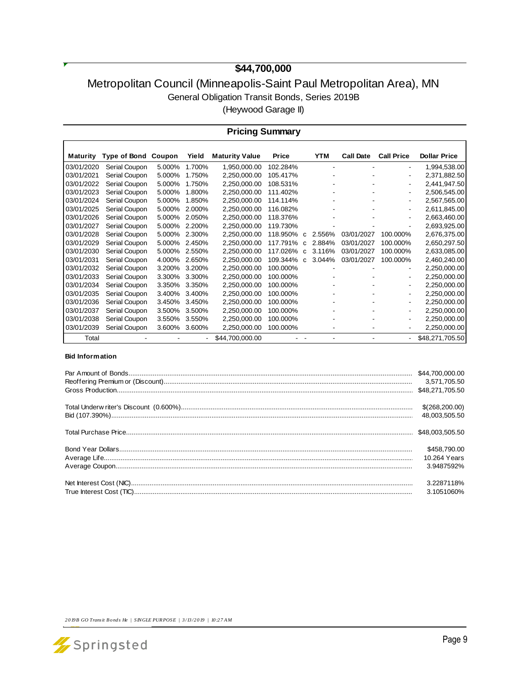# **\$44,700,000**

## Metropolitan Council (Minneapolis-Saint Paul Metropolitan Area), MN General Obligation Transit Bonds, Series 2019B (Heywood Garage II)

| <b>Pricing Summary</b> |               |        |        |                       |              |              |            |                  |                   |                     |
|------------------------|---------------|--------|--------|-----------------------|--------------|--------------|------------|------------------|-------------------|---------------------|
| <b>Maturity</b>        | Type of Bond  | Coupon | Yield  | <b>Maturity Value</b> | <b>Price</b> |              | <b>YTM</b> | <b>Call Date</b> | <b>Call Price</b> | <b>Dollar Price</b> |
| 03/01/2020             | Serial Coupon | 5.000% | 1.700% | 1,950,000.00          | 102.284%     |              |            |                  | ۰                 | 1,994,538.00        |
| 03/01/2021             | Serial Coupon | 5.000% | 1.750% | 2,250,000.00          | 105.417%     |              |            |                  | ۰                 | 2,371,882.50        |
| 03/01/2022             | Serial Coupon | 5.000% | 1.750% | 2,250,000.00          | 108.531%     |              |            |                  | ۰                 | 2,441,947.50        |
| 03/01/2023             | Serial Coupon | 5.000% | 1.800% | 2,250,000.00          | 111.402%     |              |            |                  | ۰                 | 2,506,545.00        |
| 03/01/2024             | Serial Coupon | 5.000% | 1.850% | 2,250,000.00          | 114.114%     |              |            |                  | ۰                 | 2,567,565.00        |
| 03/01/2025             | Serial Coupon | 5.000% | 2.000% | 2,250,000.00          | 116.082%     |              |            |                  | ۰.                | 2,611,845.00        |
| 03/01/2026             | Serial Coupon | 5.000% | 2.050% | 2,250,000.00          | 118.376%     |              |            |                  |                   | 2,663,460.00        |
| 03/01/2027             | Serial Coupon | 5.000% | 2.200% | 2.250.000.00          | 119.730%     |              |            |                  |                   | 2,693,925.00        |
| 03/01/2028             | Serial Coupon | 5.000% | 2.300% | 2,250,000.00          | 118.950%     | C            | 2.556%     | 03/01/2027       | 100.000%          | 2,676,375.00        |
| 03/01/2029             | Serial Coupon | 5.000% | 2.450% | 2,250,000.00          | 117.791%     | C            | 2.884%     | 03/01/2027       | 100.000%          | 2,650,297.50        |
| 03/01/2030             | Serial Coupon | 5.000% | 2.550% | 2,250,000.00          | 117.026%     | C            | 3.116%     | 03/01/2027       | 100.000%          | 2,633,085.00        |
| 03/01/2031             | Serial Coupon | 4.000% | 2.650% | 2,250,000.00          | 109.344%     | $\mathbf{C}$ | 3.044%     | 03/01/2027       | 100.000%          | 2,460,240.00        |
| 03/01/2032             | Serial Coupon | 3.200% | 3.200% | 2,250,000.00          | 100.000%     |              |            |                  | ۰                 | 2,250,000.00        |
| 03/01/2033             | Serial Coupon | 3.300% | 3.300% | 2,250,000.00          | 100.000%     |              |            |                  | ۰                 | 2,250,000.00        |
| 03/01/2034             | Serial Coupon | 3.350% | 3.350% | 2,250,000.00          | 100.000%     |              |            |                  | ۰                 | 2,250,000.00        |
| 03/01/2035             | Serial Coupon | 3.400% | 3.400% | 2,250,000.00          | 100.000%     |              |            |                  | -                 | 2,250,000.00        |
| 03/01/2036             | Serial Coupon | 3.450% | 3.450% | 2.250.000.00          | 100.000%     |              |            |                  | -                 | 2,250,000.00        |
| 03/01/2037             | Serial Coupon | 3.500% | 3.500% | 2.250.000.00          | 100.000%     |              |            |                  | ۰                 | 2,250,000.00        |
| 03/01/2038             | Serial Coupon | 3.550% | 3.550% | 2,250,000.00          | 100.000%     |              |            |                  | ۰                 | 2,250,000.00        |
| 03/01/2039             | Serial Coupon | 3.600% | 3.600% | 2,250,000.00          | 100.000%     |              |            |                  | ۰                 | 2,250,000.00        |
| Total                  |               |        |        | \$44,700,000.00       |              |              |            |                  | Ξ.                | \$48,271,705.50     |

#### **Bid Information**

| 3,571,705.50                               |
|--------------------------------------------|
| \$(268,200.00)<br>48.003.505.50            |
|                                            |
| \$458,790.00<br>10.264 Years<br>3.9487592% |
| 3.2287118%<br>3.1051060%                   |

*2019B GO Transit B onds He | SINGLE PUR POSE | 3/13/2019 | 10:27 A M*

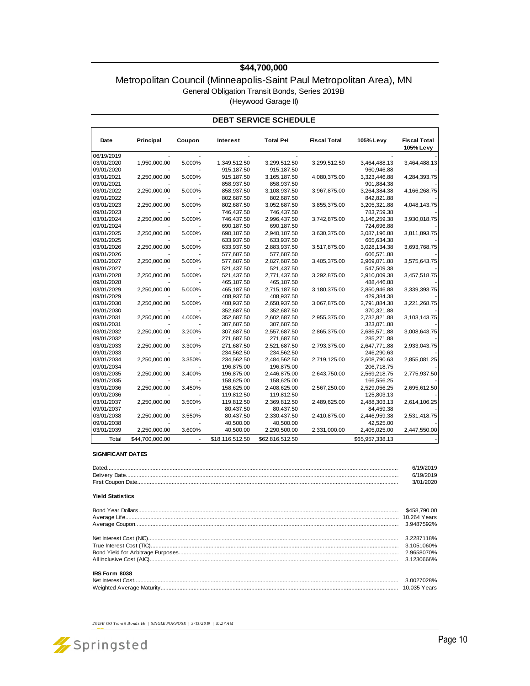#### **\$44,700,000**

#### Metropolitan Council (Minneapolis-Saint Paul Metropolitan Area), MN General Obligation Transit Bonds, Series 2019B (Heywood Garage II)

| <b>DEBT SERVICE SCHEDULE</b> |                 |        |                 |                 |                     |                 |                                  |  |
|------------------------------|-----------------|--------|-----------------|-----------------|---------------------|-----------------|----------------------------------|--|
| Date                         | Principal       | Coupon | Interest        | Total P+I       | <b>Fiscal Total</b> | 105% Levy       | <b>Fiscal Total</b><br>105% Levy |  |
| 06/19/2019                   |                 |        |                 |                 |                     |                 |                                  |  |
| 03/01/2020                   | 1,950,000.00    | 5.000% | 1,349,512.50    | 3,299,512.50    | 3,299,512.50        | 3,464,488.13    | 3,464,488.13                     |  |
| 09/01/2020                   |                 |        | 915,187.50      | 915,187.50      |                     | 960,946.88      |                                  |  |
| 03/01/2021                   | 2,250,000.00    | 5.000% | 915,187.50      | 3,165,187.50    | 4,080,375.00        | 3,323,446.88    | 4,284,393.75                     |  |
| 09/01/2021                   |                 |        | 858,937.50      | 858,937.50      |                     | 901,884.38      |                                  |  |
| 03/01/2022                   | 2,250,000.00    | 5.000% | 858,937.50      | 3,108,937.50    | 3,967,875.00        | 3,264,384.38    | 4,166,268.75                     |  |
| 09/01/2022                   |                 |        | 802,687.50      | 802,687.50      |                     | 842,821.88      |                                  |  |
| 03/01/2023                   | 2,250,000.00    | 5.000% | 802,687.50      | 3,052,687.50    | 3,855,375.00        | 3,205,321.88    | 4,048,143.75                     |  |
| 09/01/2023                   |                 |        | 746,437.50      | 746,437.50      |                     | 783,759.38      |                                  |  |
| 03/01/2024                   | 2,250,000.00    | 5.000% | 746,437.50      | 2,996,437.50    | 3,742,875.00        | 3,146,259.38    | 3,930,018.75                     |  |
| 09/01/2024                   |                 |        | 690,187.50      | 690,187.50      |                     | 724,696.88      |                                  |  |
| 03/01/2025                   | 2,250,000.00    | 5.000% | 690,187.50      | 2,940,187.50    | 3,630,375.00        | 3,087,196.88    | 3,811,893.75                     |  |
| 09/01/2025                   |                 |        | 633,937.50      | 633,937.50      |                     | 665,634.38      |                                  |  |
| 03/01/2026                   | 2,250,000.00    | 5.000% | 633,937.50      | 2,883,937.50    | 3,517,875.00        | 3,028,134.38    | 3,693,768.75                     |  |
| 09/01/2026                   |                 |        | 577,687.50      | 577,687.50      |                     | 606,571.88      |                                  |  |
| 03/01/2027                   | 2,250,000.00    | 5.000% | 577,687.50      | 2,827,687.50    | 3,405,375.00        | 2,969,071.88    | 3,575,643.75                     |  |
| 09/01/2027                   |                 |        | 521,437.50      | 521,437.50      |                     | 547,509.38      |                                  |  |
| 03/01/2028                   | 2,250,000.00    | 5.000% | 521,437.50      | 2,771,437.50    | 3,292,875.00        | 2,910,009.38    | 3,457,518.75                     |  |
| 09/01/2028                   |                 |        | 465,187.50      | 465,187.50      |                     | 488,446.88      |                                  |  |
| 03/01/2029                   | 2,250,000.00    | 5.000% | 465,187.50      | 2,715,187.50    | 3,180,375.00        | 2,850,946.88    | 3,339,393.75                     |  |
| 09/01/2029                   |                 |        | 408,937.50      | 408,937.50      |                     | 429,384.38      |                                  |  |
| 03/01/2030                   | 2,250,000.00    | 5.000% | 408,937.50      | 2,658,937.50    | 3,067,875.00        | 2,791,884.38    | 3,221,268.75                     |  |
| 09/01/2030                   |                 |        | 352,687.50      | 352,687.50      |                     | 370,321.88      |                                  |  |
| 03/01/2031                   | 2,250,000.00    | 4.000% | 352,687.50      | 2,602,687.50    | 2,955,375.00        | 2,732,821.88    | 3,103,143.75                     |  |
| 09/01/2031                   |                 |        | 307,687.50      | 307,687.50      |                     | 323,071.88      |                                  |  |
| 03/01/2032                   | 2,250,000.00    | 3.200% | 307,687.50      | 2,557,687.50    | 2,865,375.00        | 2,685,571.88    | 3,008,643.75                     |  |
| 09/01/2032                   |                 |        | 271,687.50      | 271,687.50      |                     | 285,271.88      |                                  |  |
| 03/01/2033                   | 2,250,000.00    | 3.300% | 271,687.50      | 2,521,687.50    | 2,793,375.00        | 2,647,771.88    | 2,933,043.75                     |  |
| 09/01/2033                   |                 |        | 234,562.50      | 234,562.50      |                     | 246,290.63      |                                  |  |
| 03/01/2034                   | 2,250,000.00    | 3.350% | 234,562.50      | 2,484,562.50    | 2,719,125.00        | 2,608,790.63    | 2,855,081.25                     |  |
| 09/01/2034                   |                 |        | 196,875.00      | 196,875.00      |                     | 206,718.75      |                                  |  |
| 03/01/2035                   | 2,250,000.00    | 3.400% | 196.875.00      | 2,446,875.00    | 2,643,750.00        | 2,569,218.75    | 2,775,937.50                     |  |
| 09/01/2035                   |                 |        | 158,625.00      | 158,625.00      |                     | 166,556.25      |                                  |  |
| 03/01/2036                   | 2,250,000.00    | 3.450% | 158,625.00      | 2,408,625.00    | 2,567,250.00        | 2,529,056.25    | 2,695,612.50                     |  |
| 09/01/2036                   |                 |        | 119,812.50      | 119,812.50      |                     | 125,803.13      |                                  |  |
| 03/01/2037                   | 2,250,000.00    | 3.500% | 119,812.50      | 2,369,812.50    | 2,489,625.00        | 2,488,303.13    | 2,614,106.25                     |  |
| 09/01/2037                   |                 |        | 80,437.50       | 80,437.50       |                     | 84,459.38       |                                  |  |
| 03/01/2038                   | 2,250,000.00    | 3.550% | 80,437.50       | 2,330,437.50    | 2,410,875.00        | 2,446,959.38    | 2,531,418.75                     |  |
| 09/01/2038                   |                 |        | 40,500.00       | 40,500.00       |                     | 42,525.00       |                                  |  |
| 03/01/2039                   | 2,250,000.00    | 3.600% | 40,500.00       | 2,290,500.00    | 2,331,000.00        | 2,405,025.00    | 2,447,550.00                     |  |
| Total                        | \$44,700,000.00 | ÷,     | \$18,116,512.50 | \$62,816,512.50 |                     | \$65,957,338.13 |                                  |  |

#### **SIGNIFICANT DATES**

| <b>Dater</b> |  |
|--------------|--|
| Deliver      |  |
|              |  |

#### **Yield Statistics**

| IRS Form 8038 |  |  |  |  |  |  |
|---------------|--|--|--|--|--|--|
|               |  |  |  |  |  |  |
|               |  |  |  |  |  |  |

*2019B GO Transit B onds He | SINGLE PUR POSE | 3/13/2019 | 10:27 A M*